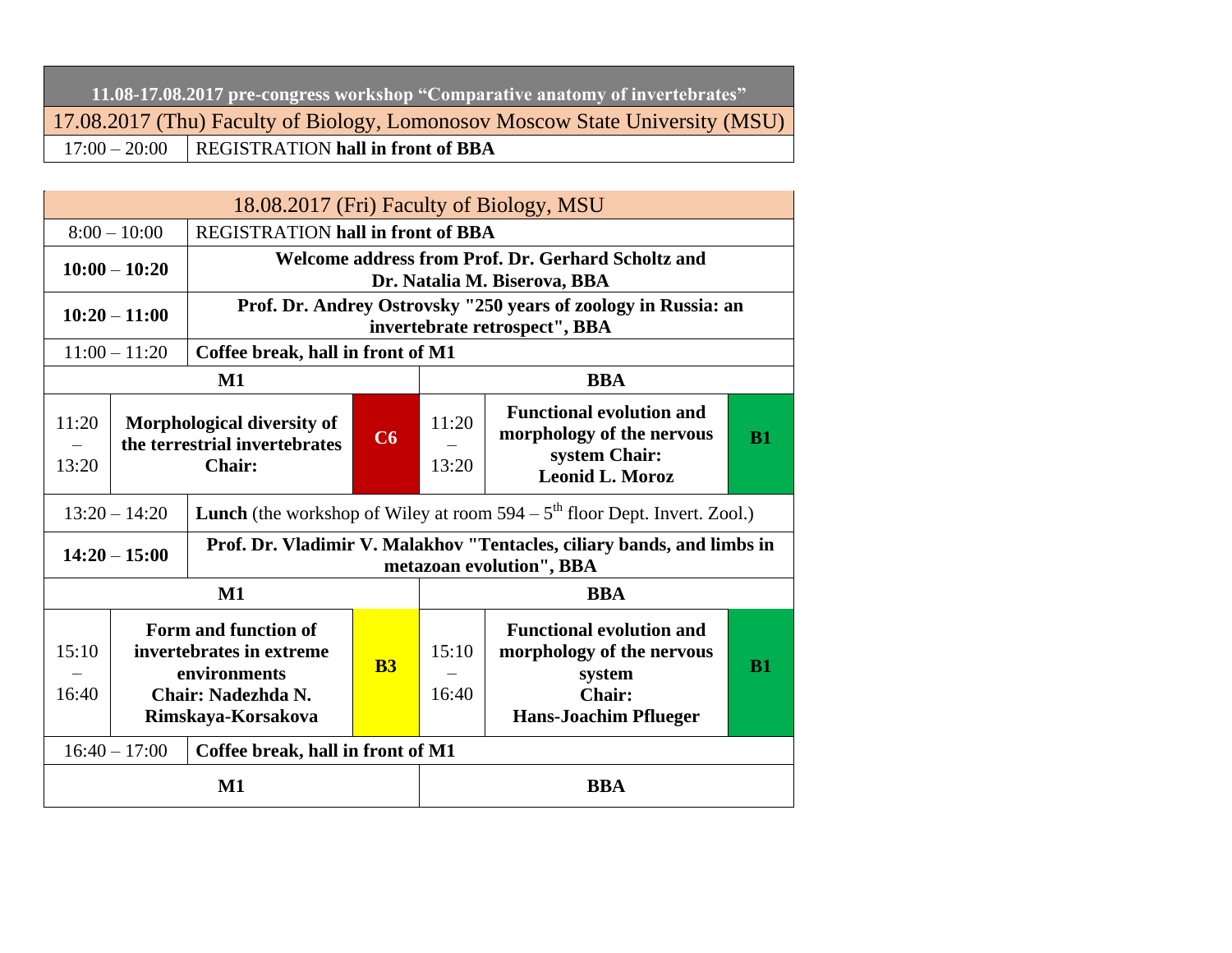| 11.08-17.08.2017 pre-congress workshop "Comparative anatomy of invertebrates" |                                                   |  |  |  |  |  |
|-------------------------------------------------------------------------------|---------------------------------------------------|--|--|--|--|--|
| 17.08.2017 (Thu) Faculty of Biology, Lomonosov Moscow State University (MSU)  |                                                   |  |  |  |  |  |
|                                                                               | $17:00 - 20:00$ REGISTRATION hall in front of BBA |  |  |  |  |  |

|                |                                                                                                                           |                                                                                                 |                                          |                                                                                                                  | 18.08.2017 (Fri) Faculty of Biology, MSU                                                           |           |  |  |
|----------------|---------------------------------------------------------------------------------------------------------------------------|-------------------------------------------------------------------------------------------------|------------------------------------------|------------------------------------------------------------------------------------------------------------------|----------------------------------------------------------------------------------------------------|-----------|--|--|
|                | $8:00 - 10:00$                                                                                                            |                                                                                                 | <b>REGISTRATION hall in front of BBA</b> |                                                                                                                  |                                                                                                    |           |  |  |
|                | $10:00 - 10:20$                                                                                                           | Welcome address from Prof. Dr. Gerhard Scholtz and<br>Dr. Natalia M. Biserova, BBA              |                                          |                                                                                                                  |                                                                                                    |           |  |  |
|                | $10:20 - 11:00$                                                                                                           | Prof. Dr. Andrey Ostrovsky "250 years of zoology in Russia: an<br>invertebrate retrospect", BBA |                                          |                                                                                                                  |                                                                                                    |           |  |  |
|                | $11:00 - 11:20$                                                                                                           | Coffee break, hall in front of M1                                                               |                                          |                                                                                                                  |                                                                                                    |           |  |  |
|                |                                                                                                                           | $\mathbf{M1}$                                                                                   |                                          |                                                                                                                  | <b>BBA</b>                                                                                         |           |  |  |
| 11:20          | Morphological diversity of<br>the terrestrial invertebrates                                                               |                                                                                                 | C6                                       | 11:20                                                                                                            | <b>Functional evolution and</b><br>morphology of the nervous                                       | <b>B1</b> |  |  |
| 13:20          |                                                                                                                           | <b>Chair:</b>                                                                                   |                                          | 13:20                                                                                                            | system Chair:<br><b>Leonid L. Moroz</b>                                                            |           |  |  |
|                | $13:20 - 14:20$                                                                                                           |                                                                                                 |                                          |                                                                                                                  | <b>Lunch</b> (the workshop of Wiley at room $594 - 5th$ floor Dept. Invert. Zool.)                 |           |  |  |
|                | $14:20 - 15:00$                                                                                                           |                                                                                                 |                                          |                                                                                                                  | Prof. Dr. Vladimir V. Malakhov "Tentacles, ciliary bands, and limbs in<br>metazoan evolution", BBA |           |  |  |
|                |                                                                                                                           | $M1$                                                                                            |                                          |                                                                                                                  | <b>BBA</b>                                                                                         |           |  |  |
| 15:10<br>16:40 | Form and function of<br>invertebrates in extreme<br><b>B3</b><br>environments<br>Chair: Nadezhda N.<br>Rimskaya-Korsakova |                                                                                                 | 15:10<br>16:40                           | <b>Functional evolution and</b><br>morphology of the nervous<br>system<br>Chair:<br><b>Hans-Joachim Pflueger</b> | <b>B1</b>                                                                                          |           |  |  |
|                | $16:40 - 17:00$                                                                                                           | Coffee break, hall in front of M1                                                               |                                          |                                                                                                                  |                                                                                                    |           |  |  |
|                | $M1$                                                                                                                      |                                                                                                 |                                          |                                                                                                                  | <b>BBA</b>                                                                                         |           |  |  |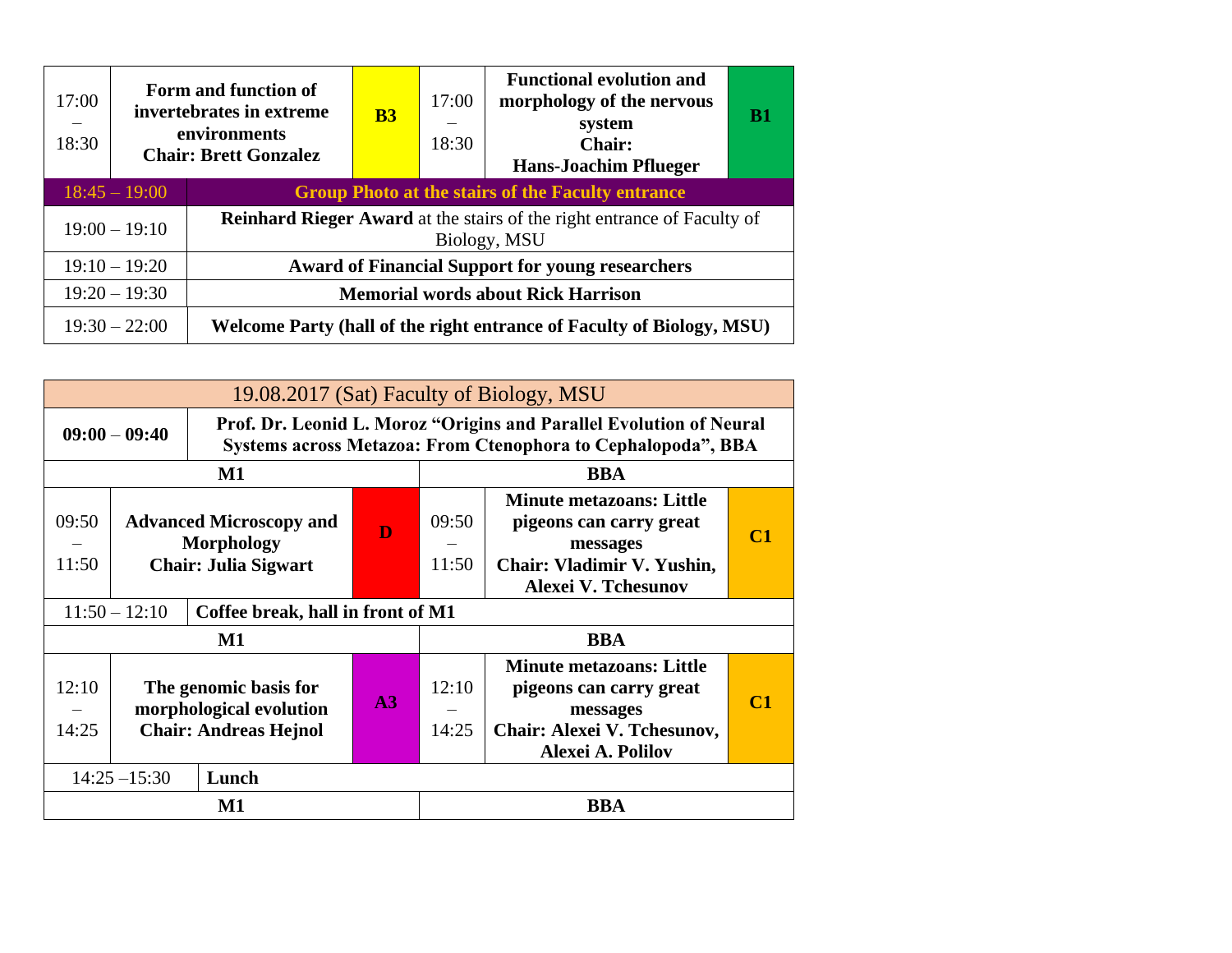| 17:00<br>18:30 |                 | Form and function of<br>invertebrates in extreme<br>environments<br><b>Chair: Brett Gonzalez</b> | B <sub>3</sub> | 17:00<br>—<br>18:30 | <b>Functional evolution and</b><br>morphology of the nervous<br>system<br><b>Chair:</b><br><b>Hans-Joachim Pflueger</b> | <b>B1</b> |
|----------------|-----------------|--------------------------------------------------------------------------------------------------|----------------|---------------------|-------------------------------------------------------------------------------------------------------------------------|-----------|
|                | $18:45 - 19:00$ |                                                                                                  |                |                     | <b>Group Photo at the stairs of the Faculty entrance</b>                                                                |           |
|                | $19:00 - 19:10$ |                                                                                                  |                |                     | <b>Reinhard Rieger Award</b> at the stairs of the right entrance of Faculty of<br>Biology, MSU                          |           |
|                | $19:10 - 19:20$ |                                                                                                  |                |                     | <b>Award of Financial Support for young researchers</b>                                                                 |           |
|                | $19:20 - 19:30$ |                                                                                                  |                |                     | <b>Memorial words about Rick Harrison</b>                                                                               |           |
|                | $19:30 - 22:00$ |                                                                                                  |                |                     | Welcome Party (hall of the right entrance of Faculty of Biology, MSU)                                                   |           |

|                | 19.08.2017 (Sat) Faculty of Biology, MSU                                                |                                   |  |                |                                                                                                                                     |                    |  |
|----------------|-----------------------------------------------------------------------------------------|-----------------------------------|--|----------------|-------------------------------------------------------------------------------------------------------------------------------------|--------------------|--|
|                | $09:00 - 09:40$                                                                         |                                   |  |                | Prof. Dr. Leonid L. Moroz "Origins and Parallel Evolution of Neural<br>Systems across Metazoa: From Ctenophora to Cephalopoda", BBA |                    |  |
|                |                                                                                         | M1                                |  |                | <b>BBA</b>                                                                                                                          |                    |  |
| 09:50<br>11:50 | <b>Advanced Microscopy and</b><br>D<br><b>Morphology</b><br><b>Chair: Julia Sigwart</b> |                                   |  | 09:50<br>11:50 | <b>Minute metazoans: Little</b><br>pigeons can carry great<br>messages<br>Chair: Vladimir V. Yushin,<br><b>Alexei V. Tchesunov</b>  | $\mathsf{\Gamma}1$ |  |
|                | $11:50 - 12:10$                                                                         | Coffee break, hall in front of M1 |  |                |                                                                                                                                     |                    |  |
|                |                                                                                         | $\mathbf{M1}$                     |  |                | <b>BBA</b>                                                                                                                          |                    |  |
| 12:10<br>14:25 | The genomic basis for<br>A3<br>morphological evolution<br><b>Chair: Andreas Hejnol</b>  |                                   |  | 12:10<br>14:25 | <b>Minute metazoans: Little</b><br>pigeons can carry great<br>messages<br>Chair: Alexei V. Tchesunov,<br>Alexei A. Polilov          | $\mathsf{\Gamma}1$ |  |
|                | $14:25 - 15:30$                                                                         | Lunch                             |  |                |                                                                                                                                     |                    |  |
|                | M1                                                                                      |                                   |  |                | <b>BBA</b>                                                                                                                          |                    |  |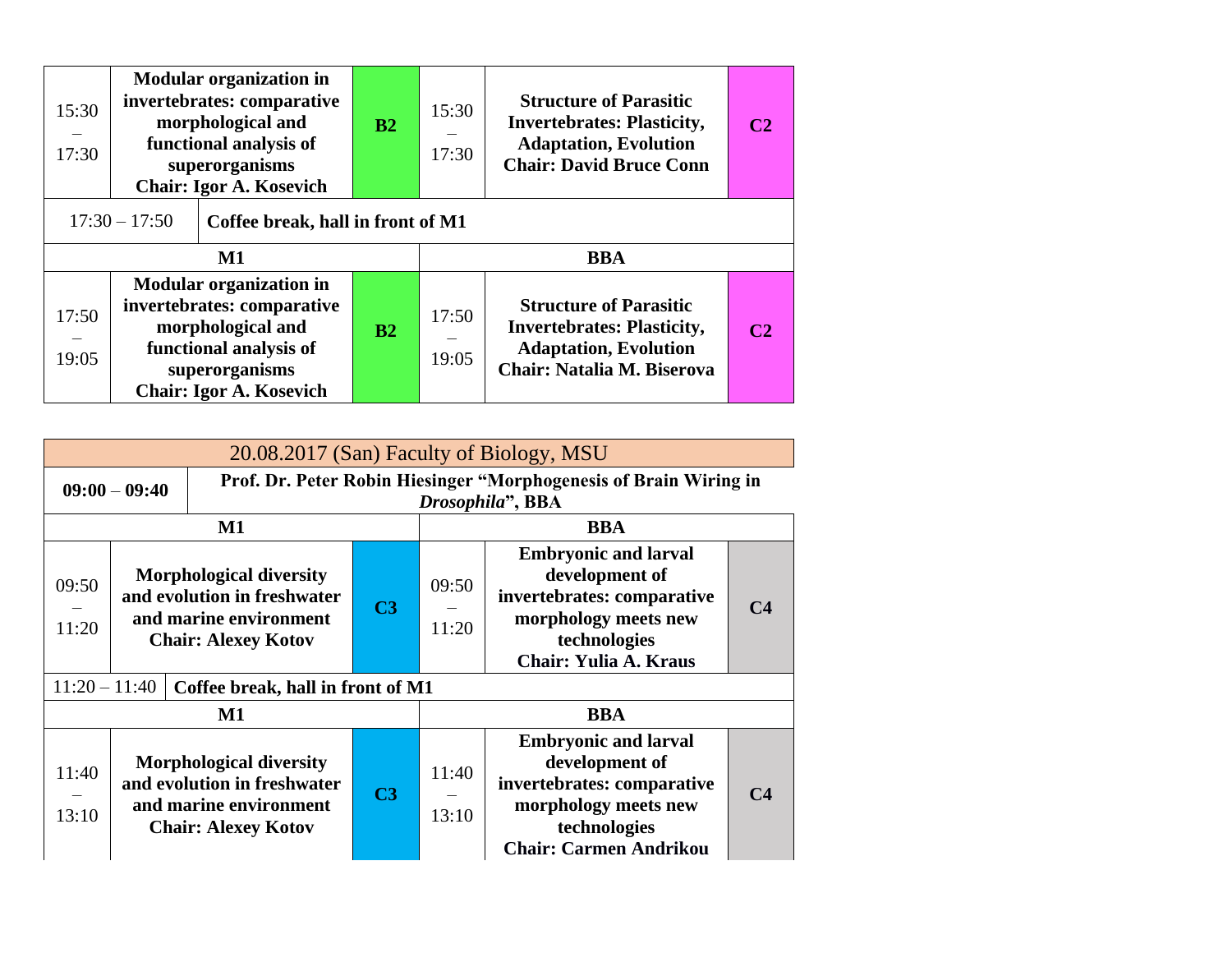| 15:30<br>17:30                                                                                                                                                                    | <b>Modular organization in</b><br>invertebrates: comparative<br>morphological and<br>functional analysis of<br>superorganisms<br><b>Chair: Igor A. Kosevich</b> |  | B2 | 15:30<br>17:30 | <b>Structure of Parasitic</b><br><b>Invertebrates: Plasticity,</b><br><b>Adaptation, Evolution</b><br><b>Chair: David Bruce Conn</b> | C2 |
|-----------------------------------------------------------------------------------------------------------------------------------------------------------------------------------|-----------------------------------------------------------------------------------------------------------------------------------------------------------------|--|----|----------------|--------------------------------------------------------------------------------------------------------------------------------------|----|
| $17:30 - 17:50$<br>Coffee break, hall in front of M1                                                                                                                              |                                                                                                                                                                 |  |    |                |                                                                                                                                      |    |
|                                                                                                                                                                                   | $\mathbf{M1}$                                                                                                                                                   |  |    |                | <b>BBA</b>                                                                                                                           |    |
| <b>Modular organization in</b><br>invertebrates: comparative<br>17:50<br>morphological and<br>functional analysis of<br>19:05<br>superorganisms<br><b>Chair: Igor A. Kosevich</b> |                                                                                                                                                                 |  |    |                |                                                                                                                                      |    |

| 20.08.2017 (San) Faculty of Biology, MSU                                                                                                                  |                 |                                                                                                                       |                |                                                                                                                                                     |                                                                                                                                                      |                |
|-----------------------------------------------------------------------------------------------------------------------------------------------------------|-----------------|-----------------------------------------------------------------------------------------------------------------------|----------------|-----------------------------------------------------------------------------------------------------------------------------------------------------|------------------------------------------------------------------------------------------------------------------------------------------------------|----------------|
|                                                                                                                                                           | $09:00 - 09:40$ |                                                                                                                       |                |                                                                                                                                                     | Prof. Dr. Peter Robin Hiesinger "Morphogenesis of Brain Wiring in<br>Drosophila", BBA                                                                |                |
|                                                                                                                                                           |                 | $\mathbf{M1}$                                                                                                         |                |                                                                                                                                                     | <b>BBA</b>                                                                                                                                           |                |
| <b>Morphological diversity</b><br>09:50<br>and evolution in freshwater<br>C <sub>3</sub><br>and marine environment<br>11:20<br><b>Chair: Alexey Kotov</b> |                 |                                                                                                                       | 09:50<br>11:20 | <b>Embryonic and larval</b><br>development of<br>invertebrates: comparative<br>morphology meets new<br>technologies<br><b>Chair: Yulia A. Kraus</b> | C <sub>4</sub>                                                                                                                                       |                |
| $11:20 - 11:40$                                                                                                                                           |                 | Coffee break, hall in front of M1                                                                                     |                |                                                                                                                                                     |                                                                                                                                                      |                |
|                                                                                                                                                           |                 | $\mathbf{M1}$                                                                                                         |                |                                                                                                                                                     | <b>BBA</b>                                                                                                                                           |                |
| 11:40<br>13:10                                                                                                                                            |                 | <b>Morphological diversity</b><br>and evolution in freshwater<br>and marine environment<br><b>Chair: Alexey Kotov</b> | C <sub>3</sub> | 11:40<br>13:10                                                                                                                                      | <b>Embryonic and larval</b><br>development of<br>invertebrates: comparative<br>morphology meets new<br>technologies<br><b>Chair: Carmen Andrikou</b> | C <sub>4</sub> |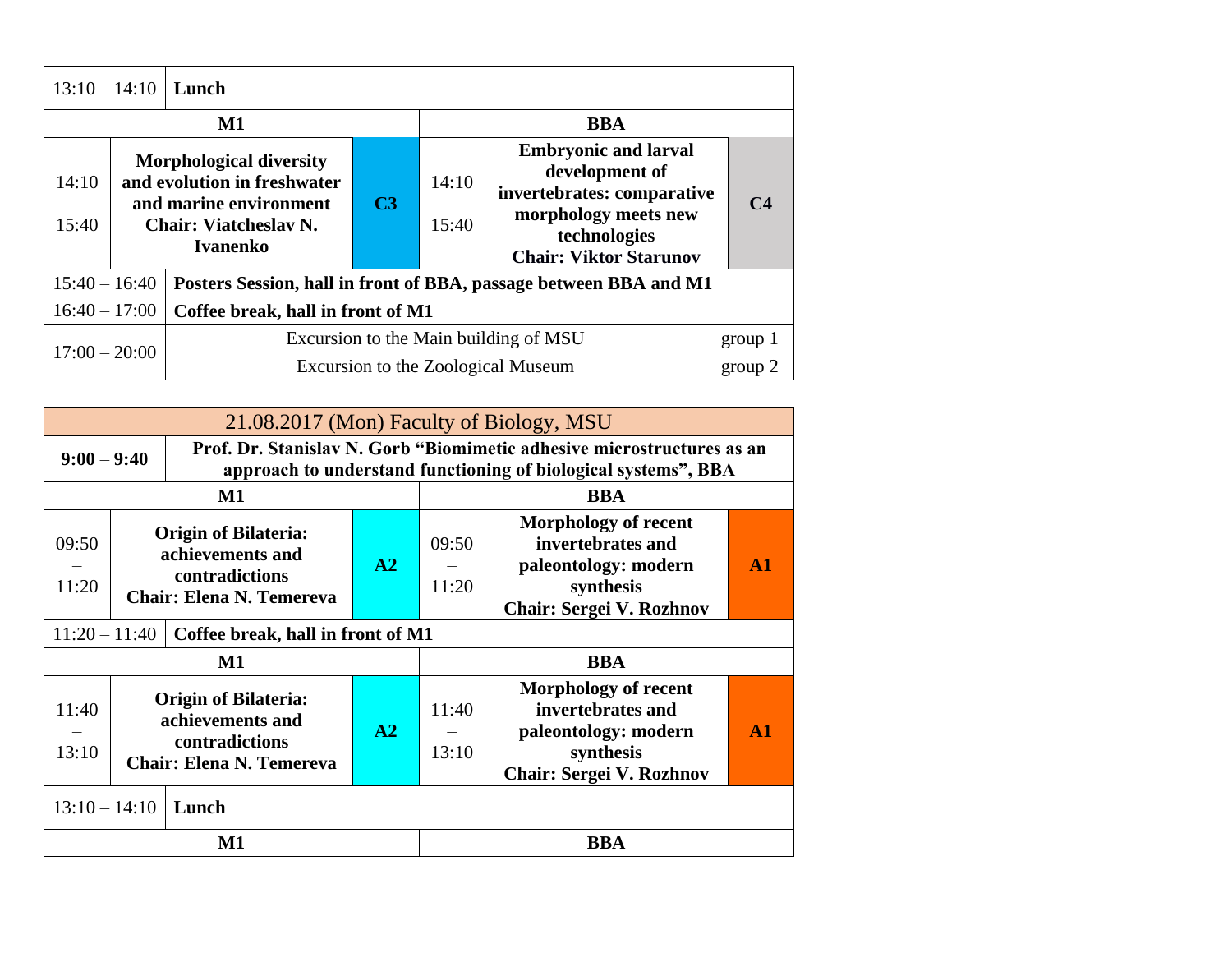|                 |                                                                                                                                            | $13:10 - 14:10$ Lunch             |                |                |                                                                                                                                                      |                |
|-----------------|--------------------------------------------------------------------------------------------------------------------------------------------|-----------------------------------|----------------|----------------|------------------------------------------------------------------------------------------------------------------------------------------------------|----------------|
|                 | $\mathbf{M1}$                                                                                                                              |                                   |                |                | <b>BBA</b>                                                                                                                                           |                |
| 14:10<br>15:40  | <b>Morphological diversity</b><br>and evolution in freshwater<br>and marine environment<br><b>Chair: Viatcheslav N.</b><br><b>Ivanenko</b> |                                   | C <sub>3</sub> | 14:10<br>15:40 | <b>Embryonic and larval</b><br>development of<br>invertebrates: comparative<br>morphology meets new<br>technologies<br><b>Chair: Viktor Starunov</b> | C <sub>4</sub> |
| $15:40 - 16:40$ |                                                                                                                                            |                                   |                |                | Posters Session, hall in front of BBA, passage between BBA and M1                                                                                    |                |
| $16:40 - 17:00$ |                                                                                                                                            | Coffee break, hall in front of M1 |                |                |                                                                                                                                                      |                |
|                 |                                                                                                                                            |                                   |                |                | Excursion to the Main building of MSU                                                                                                                | group 1        |
| $17:00 - 20:00$ |                                                                                                                                            |                                   |                |                | Excursion to the Zoological Museum                                                                                                                   | group 2        |

|                 | 21.08.2017 (Mon) Faculty of Biology, MSU                                                             |                                   |    |                |                                                                                                                                          |               |  |
|-----------------|------------------------------------------------------------------------------------------------------|-----------------------------------|----|----------------|------------------------------------------------------------------------------------------------------------------------------------------|---------------|--|
| $9:00 - 9:40$   |                                                                                                      |                                   |    |                | Prof. Dr. Stanislav N. Gorb "Biomimetic adhesive microstructures as an<br>approach to understand functioning of biological systems", BBA |               |  |
|                 |                                                                                                      | <b>BBA</b><br>$\mathbf{M1}$       |    |                |                                                                                                                                          |               |  |
| 09:50<br>11:20  | <b>Origin of Bilateria:</b><br>achievements and<br>contradictions<br><b>Chair: Elena N. Temereva</b> |                                   | A2 | 09:50<br>11:20 | <b>Morphology of recent</b><br>invertebrates and<br>paleontology: modern<br>synthesis<br><b>Chair: Sergei V. Rozhnov</b>                 | A1            |  |
| $11:20 - 11:40$ |                                                                                                      | Coffee break, hall in front of M1 |    |                |                                                                                                                                          |               |  |
|                 |                                                                                                      | $\mathbf{M1}$                     |    |                | <b>BBA</b>                                                                                                                               |               |  |
| 11:40<br>13:10  | <b>Origin of Bilateria:</b><br>achievements and<br>contradictions<br><b>Chair: Elena N. Temereva</b> |                                   | A2 | 11:40<br>13:10 | <b>Morphology of recent</b><br>invertebrates and<br>paleontology: modern<br>synthesis<br><b>Chair: Sergei V. Rozhnov</b>                 | $\mathbf{A1}$ |  |
| $13:10 - 14:10$ |                                                                                                      | Lunch                             |    |                |                                                                                                                                          |               |  |
|                 |                                                                                                      | $\mathbf{M1}$                     |    |                | <b>BBA</b>                                                                                                                               |               |  |